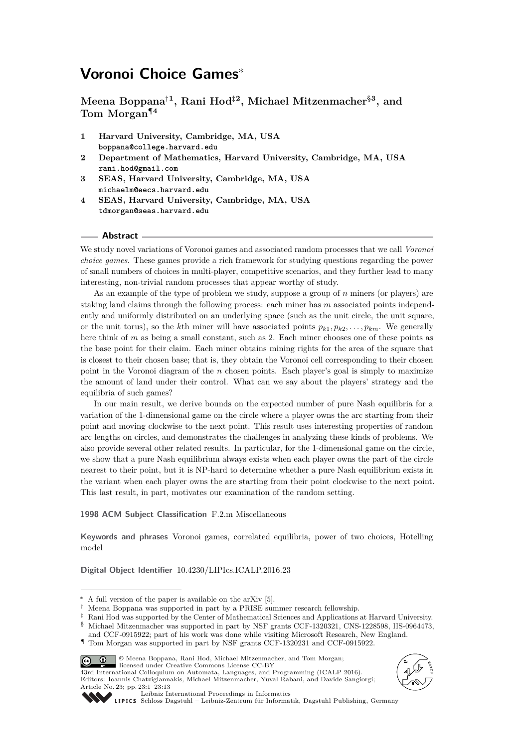# **Voronoi Choice Games**<sup>∗</sup>

**Meena Boppana**†**<sup>1</sup> , Rani Hod**‡**<sup>2</sup> , Michael Mitzenmacher**§**<sup>3</sup> , and Tom Morgan**¶**<sup>4</sup>**

- **1 Harvard University, Cambridge, MA, USA boppana@college.harvard.edu**
- **2 Department of Mathematics, Harvard University, Cambridge, MA, USA rani.hod@gmail.com**
- **3 SEAS, Harvard University, Cambridge, MA, USA michaelm@eecs.harvard.edu**
- **4 SEAS, Harvard University, Cambridge, MA, USA tdmorgan@seas.harvard.edu**

#### **Abstract**

We study novel variations of Voronoi games and associated random processes that we call *Voronoi choice games*. These games provide a rich framework for studying questions regarding the power of small numbers of choices in multi-player, competitive scenarios, and they further lead to many interesting, non-trivial random processes that appear worthy of study.

As an example of the type of problem we study, suppose a group of *n* miners (or players) are staking land claims through the following process: each miner has *m* associated points independently and uniformly distributed on an underlying space (such as the unit circle, the unit square, or the unit torus), so the *k*th miner will have associated points  $p_{k1}, p_{k2}, \ldots, p_{km}$ . We generally here think of *m* as being a small constant, such as 2. Each miner chooses one of these points as the base point for their claim. Each miner obtains mining rights for the area of the square that is closest to their chosen base; that is, they obtain the Voronoi cell corresponding to their chosen point in the Voronoi diagram of the *n* chosen points. Each player's goal is simply to maximize the amount of land under their control. What can we say about the players' strategy and the equilibria of such games?

In our main result, we derive bounds on the expected number of pure Nash equilibria for a variation of the 1-dimensional game on the circle where a player owns the arc starting from their point and moving clockwise to the next point. This result uses interesting properties of random arc lengths on circles, and demonstrates the challenges in analyzing these kinds of problems. We also provide several other related results. In particular, for the 1-dimensional game on the circle, we show that a pure Nash equilibrium always exists when each player owns the part of the circle nearest to their point, but it is NP-hard to determine whether a pure Nash equilibrium exists in the variant when each player owns the arc starting from their point clockwise to the next point. This last result, in part, motivates our examination of the random setting.

#### **1998 ACM Subject Classification** F.2.m Miscellaneous

**Keywords and phrases** Voronoi games, correlated equilibria, power of two choices, Hotelling model

**Digital Object Identifier** [10.4230/LIPIcs.ICALP.2016.23](http://dx.doi.org/10.4230/LIPIcs.ICALP.2016.23)

and CCF-0915922; part of his work was done while visiting Microsoft Research, New England. ¶ Tom Morgan was supported in part by NSF grants CCF-1320231 and CCF-0915922.



43rd International Colloquium on Automata, Languages, and Programming (ICALP 2016). Editors: Ioannis Chatzigiannakis, Michael Mitzenmacher, Yuval Rabani, and Davide Sangiorgi; Article No. 23; pp. 23:1–23[:13](#page-12-0)





[Leibniz International Proceedings in Informatics](http://www.dagstuhl.de/lipics/)

[Schloss Dagstuhl – Leibniz-Zentrum für Informatik, Dagstuhl Publishing, Germany](http://www.dagstuhl.de)

 $*$  A full version of the paper is available on the arXiv [\[5\]](#page-11-0).<br>↓ Meena Bonnana was supported in part by a PRISE sup

<sup>†</sup> Meena Boppana was supported in part by a PRISE summer research fellowship.

Rani Hod was supported by the Center of Mathematical Sciences and Applications at Harvard University. § Michael Mitzenmacher was supported in part by NSF grants CCF-1320321, CNS-1228598, IIS-0964473,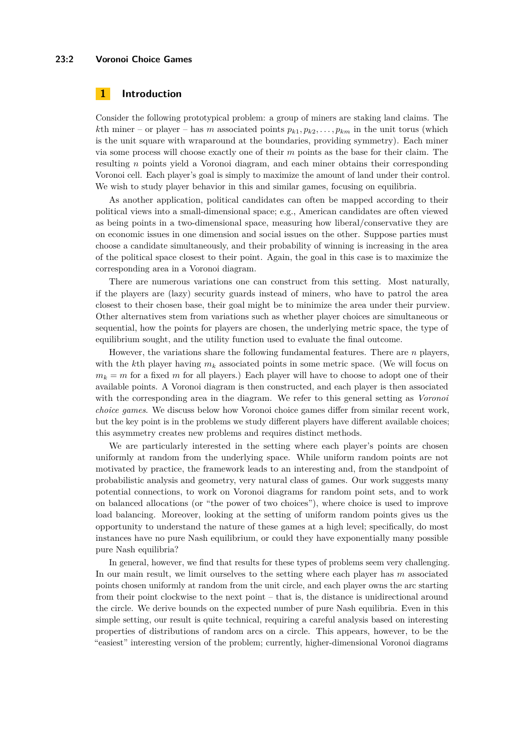### **23:2 Voronoi Choice Games**

## **1 Introduction**

Consider the following prototypical problem: a group of miners are staking land claims. The *k*th miner – or player – has *m* associated points  $p_{k1}, p_{k2}, \ldots, p_{km}$  in the unit torus (which is the unit square with wraparound at the boundaries, providing symmetry). Each miner via some process will choose exactly one of their *m* points as the base for their claim. The resulting *n* points yield a Voronoi diagram, and each miner obtains their corresponding Voronoi cell. Each player's goal is simply to maximize the amount of land under their control. We wish to study player behavior in this and similar games, focusing on equilibria.

As another application, political candidates can often be mapped according to their political views into a small-dimensional space; e.g., American candidates are often viewed as being points in a two-dimensional space, measuring how liberal/conservative they are on economic issues in one dimension and social issues on the other. Suppose parties must choose a candidate simultaneously, and their probability of winning is increasing in the area of the political space closest to their point. Again, the goal in this case is to maximize the corresponding area in a Voronoi diagram.

There are numerous variations one can construct from this setting. Most naturally, if the players are (lazy) security guards instead of miners, who have to patrol the area closest to their chosen base, their goal might be to minimize the area under their purview. Other alternatives stem from variations such as whether player choices are simultaneous or sequential, how the points for players are chosen, the underlying metric space, the type of equilibrium sought, and the utility function used to evaluate the final outcome.

However, the variations share the following fundamental features. There are *n* players, with the *k*th player having *m<sup>k</sup>* associated points in some metric space. (We will focus on  $m_k = m$  for a fixed *m* for all players.) Each player will have to choose to adopt one of their available points. A Voronoi diagram is then constructed, and each player is then associated with the corresponding area in the diagram. We refer to this general setting as *Voronoi choice games*. We discuss below how Voronoi choice games differ from similar recent work, but the key point is in the problems we study different players have different available choices; this asymmetry creates new problems and requires distinct methods.

We are particularly interested in the setting where each player's points are chosen uniformly at random from the underlying space. While uniform random points are not motivated by practice, the framework leads to an interesting and, from the standpoint of probabilistic analysis and geometry, very natural class of games. Our work suggests many potential connections, to work on Voronoi diagrams for random point sets, and to work on balanced allocations (or "the power of two choices"), where choice is used to improve load balancing. Moreover, looking at the setting of uniform random points gives us the opportunity to understand the nature of these games at a high level; specifically, do most instances have no pure Nash equilibrium, or could they have exponentially many possible pure Nash equilibria?

In general, however, we find that results for these types of problems seem very challenging. In our main result, we limit ourselves to the setting where each player has *m* associated points chosen uniformly at random from the unit circle, and each player owns the arc starting from their point clockwise to the next point – that is, the distance is unidirectional around the circle. We derive bounds on the expected number of pure Nash equilibria. Even in this simple setting, our result is quite technical, requiring a careful analysis based on interesting properties of distributions of random arcs on a circle. This appears, however, to be the "easiest" interesting version of the problem; currently, higher-dimensional Voronoi diagrams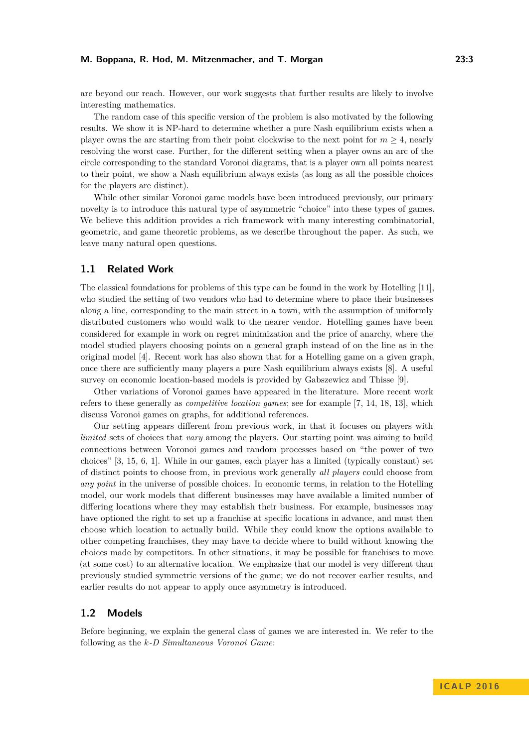are beyond our reach. However, our work suggests that further results are likely to involve interesting mathematics.

The random case of this specific version of the problem is also motivated by the following results. We show it is NP-hard to determine whether a pure Nash equilibrium exists when a player owns the arc starting from their point clockwise to the next point for  $m \geq 4$ , nearly resolving the worst case. Further, for the different setting when a player owns an arc of the circle corresponding to the standard Voronoi diagrams, that is a player own all points nearest to their point, we show a Nash equilibrium always exists (as long as all the possible choices for the players are distinct).

While other similar Voronoi game models have been introduced previously, our primary novelty is to introduce this natural type of asymmetric "choice" into these types of games. We believe this addition provides a rich framework with many interesting combinatorial, geometric, and game theoretic problems, as we describe throughout the paper. As such, we leave many natural open questions.

## **1.1 Related Work**

The classical foundations for problems of this type can be found in the work by Hotelling [\[11\]](#page-12-1), who studied the setting of two vendors who had to determine where to place their businesses along a line, corresponding to the main street in a town, with the assumption of uniformly distributed customers who would walk to the nearer vendor. Hotelling games have been considered for example in work on regret minimization and the price of anarchy, where the model studied players choosing points on a general graph instead of on the line as in the original model [\[4\]](#page-11-1). Recent work has also shown that for a Hotelling game on a given graph, once there are sufficiently many players a pure Nash equilibrium always exists [\[8\]](#page-12-2). A useful survey on economic location-based models is provided by Gabszewicz and Thisse [\[9\]](#page-12-3).

Other variations of Voronoi games have appeared in the literature. More recent work refers to these generally as *competitive location games*; see for example [\[7,](#page-11-2) [14,](#page-12-4) [18,](#page-12-5) [13\]](#page-12-6), which discuss Voronoi games on graphs, for additional references.

Our setting appears different from previous work, in that it focuses on players with *limited* sets of choices that *vary* among the players. Our starting point was aiming to build connections between Voronoi games and random processes based on "the power of two choices" [\[3,](#page-11-3) [15,](#page-12-7) [6,](#page-11-4) [1\]](#page-11-5). While in our games, each player has a limited (typically constant) set of distinct points to choose from, in previous work generally *all players* could choose from *any point* in the universe of possible choices. In economic terms, in relation to the Hotelling model, our work models that different businesses may have available a limited number of differing locations where they may establish their business. For example, businesses may have optioned the right to set up a franchise at specific locations in advance, and must then choose which location to actually build. While they could know the options available to other competing franchises, they may have to decide where to build without knowing the choices made by competitors. In other situations, it may be possible for franchises to move (at some cost) to an alternative location. We emphasize that our model is very different than previously studied symmetric versions of the game; we do not recover earlier results, and earlier results do not appear to apply once asymmetry is introduced.

## **1.2 Models**

Before beginning, we explain the general class of games we are interested in. We refer to the following as the *k-D Simultaneous Voronoi Game*: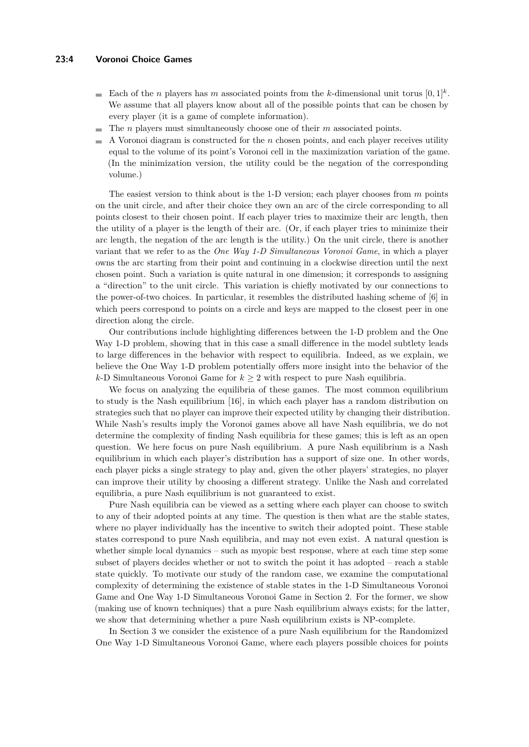## **23:4 Voronoi Choice Games**

- Each of the *n* players has *m* associated points from the *k*-dimensional unit torus  $[0,1]^k$ . We assume that all players know about all of the possible points that can be chosen by every player (it is a game of complete information).
- The *n* players must simultaneously choose one of their *m* associated points.
- A Voronoi diagram is constructed for the *n* chosen points, and each player receives utility equal to the volume of its point's Voronoi cell in the maximization variation of the game. (In the minimization version, the utility could be the negation of the corresponding volume.)

The easiest version to think about is the 1-D version; each player chooses from *m* points on the unit circle, and after their choice they own an arc of the circle corresponding to all points closest to their chosen point. If each player tries to maximize their arc length, then the utility of a player is the length of their arc. (Or, if each player tries to minimize their arc length, the negation of the arc length is the utility.) On the unit circle, there is another variant that we refer to as the *One Way 1-D Simultaneous Voronoi Game*, in which a player owns the arc starting from their point and continuing in a clockwise direction until the next chosen point. Such a variation is quite natural in one dimension; it corresponds to assigning a "direction" to the unit circle. This variation is chiefly motivated by our connections to the power-of-two choices. In particular, it resembles the distributed hashing scheme of [\[6\]](#page-11-4) in which peers correspond to points on a circle and keys are mapped to the closest peer in one direction along the circle.

Our contributions include highlighting differences between the 1-D problem and the One Way 1-D problem, showing that in this case a small difference in the model subtlety leads to large differences in the behavior with respect to equilibria. Indeed, as we explain, we believe the One Way 1-D problem potentially offers more insight into the behavior of the *k*-D Simultaneous Voronoi Game for  $k \geq 2$  with respect to pure Nash equilibria.

We focus on analyzing the equilibria of these games. The most common equilibrium to study is the Nash equilibrium [\[16\]](#page-12-8), in which each player has a random distribution on strategies such that no player can improve their expected utility by changing their distribution. While Nash's results imply the Voronoi games above all have Nash equilibria, we do not determine the complexity of finding Nash equilibria for these games; this is left as an open question. We here focus on pure Nash equilibrium. A pure Nash equilibrium is a Nash equilibrium in which each player's distribution has a support of size one. In other words, each player picks a single strategy to play and, given the other players' strategies, no player can improve their utility by choosing a different strategy. Unlike the Nash and correlated equilibria, a pure Nash equilibrium is not guaranteed to exist.

Pure Nash equilibria can be viewed as a setting where each player can choose to switch to any of their adopted points at any time. The question is then what are the stable states, where no player individually has the incentive to switch their adopted point. These stable states correspond to pure Nash equilibria, and may not even exist. A natural question is whether simple local dynamics – such as myopic best response, where at each time step some subset of players decides whether or not to switch the point it has adopted – reach a stable state quickly. To motivate our study of the random case, we examine the computational complexity of determining the existence of stable states in the 1-D Simultaneous Voronoi Game and One Way 1-D Simultaneous Voronoi Game in Section [2.](#page-4-0) For the former, we show (making use of known techniques) that a pure Nash equilibrium always exists; for the latter, we show that determining whether a pure Nash equilibrium exists is NP-complete.

In Section [3](#page-6-0) we consider the existence of a pure Nash equilibrium for the Randomized One Way 1-D Simultaneous Voronoi Game, where each players possible choices for points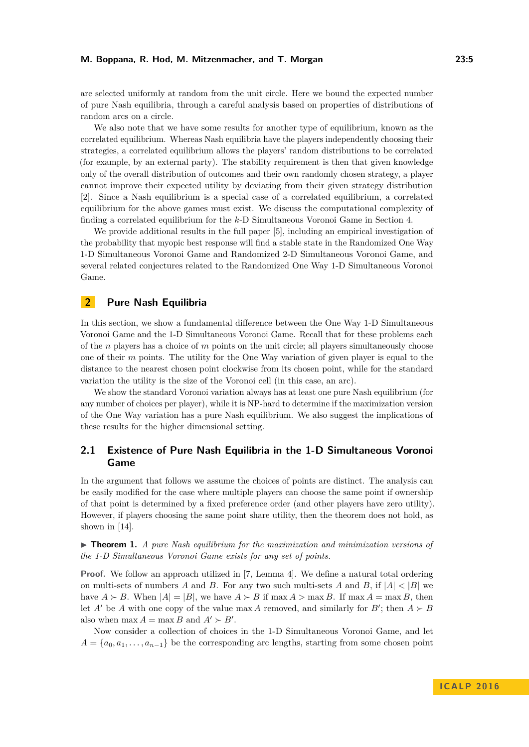are selected uniformly at random from the unit circle. Here we bound the expected number of pure Nash equilibria, through a careful analysis based on properties of distributions of random arcs on a circle.

We also note that we have some results for another type of equilibrium, known as the correlated equilibrium. Whereas Nash equilibria have the players independently choosing their strategies, a correlated equilibrium allows the players' random distributions to be correlated (for example, by an external party). The stability requirement is then that given knowledge only of the overall distribution of outcomes and their own randomly chosen strategy, a player cannot improve their expected utility by deviating from their given strategy distribution [\[2\]](#page-11-6). Since a Nash equilibrium is a special case of a correlated equilibrium, a correlated equilibrium for the above games must exist. We discuss the computational complexity of finding a correlated equilibrium for the *k*-D Simultaneous Voronoi Game in Section [4.](#page-10-0)

We provide additional results in the full paper [\[5\]](#page-11-0), including an empirical investigation of the probability that myopic best response will find a stable state in the Randomized One Way 1-D Simultaneous Voronoi Game and Randomized 2-D Simultaneous Voronoi Game, and several related conjectures related to the Randomized One Way 1-D Simultaneous Voronoi Game.

# <span id="page-4-0"></span>**2 Pure Nash Equilibria**

In this section, we show a fundamental difference between the One Way 1-D Simultaneous Voronoi Game and the 1-D Simultaneous Voronoi Game. Recall that for these problems each of the *n* players has a choice of *m* points on the unit circle; all players simultaneously choose one of their *m* points. The utility for the One Way variation of given player is equal to the distance to the nearest chosen point clockwise from its chosen point, while for the standard variation the utility is the size of the Voronoi cell (in this case, an arc).

We show the standard Voronoi variation always has at least one pure Nash equilibrium (for any number of choices per player), while it is NP-hard to determine if the maximization version of the One Way variation has a pure Nash equilibrium. We also suggest the implications of these results for the higher dimensional setting.

# **2.1 Existence of Pure Nash Equilibria in the 1-D Simultaneous Voronoi Game**

In the argument that follows we assume the choices of points are distinct. The analysis can be easily modified for the case where multiple players can choose the same point if ownership of that point is determined by a fixed preference order (and other players have zero utility). However, if players choosing the same point share utility, then the theorem does not hold, as shown in [\[14\]](#page-12-4).

<span id="page-4-1"></span>I **Theorem 1.** *A pure Nash equilibrium for the maximization and minimization versions of the 1-D Simultaneous Voronoi Game exists for any set of points.*

**Proof.** We follow an approach utilized in [\[7,](#page-11-2) Lemma 4]. We define a natural total ordering on multi-sets of numbers *A* and *B*. For any two such multi-sets *A* and *B*, if  $|A| < |B|$  we have  $A \succ B$ . When  $|A| = |B|$ , we have  $A \succ B$  if max  $A > \max B$ . If max  $A = \max B$ , then let *A'* be *A* with one copy of the value max *A* removed, and similarly for *B'*; then  $A \succ B$ also when  $\max A = \max B$  and  $A' \succ B'$ .

Now consider a collection of choices in the 1-D Simultaneous Voronoi Game, and let  $A = \{a_0, a_1, \ldots, a_{n-1}\}$  be the corresponding arc lengths, starting from some chosen point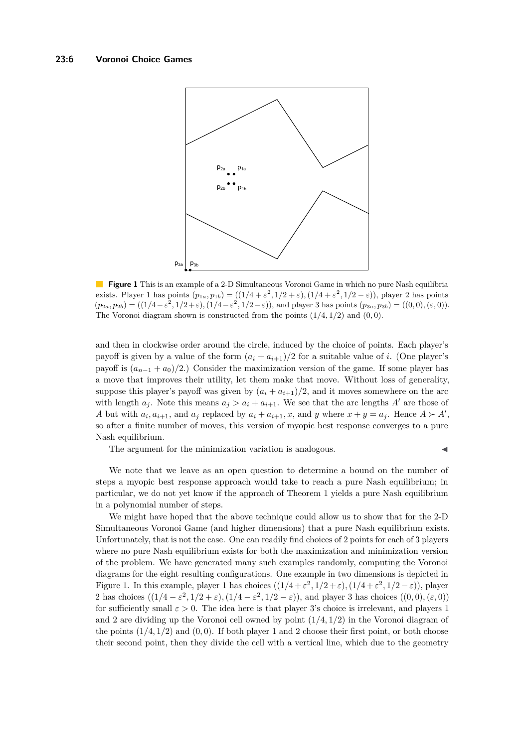<span id="page-5-0"></span>

**Figure 1** This is an example of a 2-D Simultaneous Voronoi Game in which no pure Nash equilibria exists. Player 1 has points  $(p_{1a}, p_{1b}) = ((1/4 + \varepsilon^2, 1/2 + \varepsilon), (1/4 + \varepsilon^2, 1/2 - \varepsilon))$ , player 2 has points  $(p_{2a}, p_{2b}) = ((1/4 - \varepsilon^2, 1/2 + \varepsilon), (1/4 - \varepsilon^2, 1/2 - \varepsilon)),$  and player 3 has points  $(p_{3a}, p_{3b}) = ((0, 0), (\varepsilon, 0)).$ The Voronoi diagram shown is constructed from the points (1*/*4*,* 1*/*2) and (0*,* 0).

and then in clockwise order around the circle, induced by the choice of points. Each player's payoff is given by a value of the form  $(a_i + a_{i+1})/2$  for a suitable value of *i*. (One player's payoff is  $(a_{n-1} + a_0)/2$ .) Consider the maximization version of the game. If some player has a move that improves their utility, let them make that move. Without loss of generality, suppose this player's payoff was given by  $(a_i + a_{i+1})/2$ , and it moves somewhere on the arc with length  $a_j$ . Note this means  $a_j > a_i + a_{i+1}$ . We see that the arc lengths  $A'$  are those of A but with  $a_i, a_{i+1}$ , and  $a_j$  replaced by  $a_i + a_{i+1}, x$ , and y where  $x + y = a_j$ . Hence  $A \succ A'$ , so after a finite number of moves, this version of myopic best response converges to a pure Nash equilibrium.

The argument for the minimization variation is analogous.

We note that we leave as an open question to determine a bound on the number of steps a myopic best response approach would take to reach a pure Nash equilibrium; in particular, we do not yet know if the approach of Theorem [1](#page-4-1) yields a pure Nash equilibrium in a polynomial number of steps.

We might have hoped that the above technique could allow us to show that for the 2-D Simultaneous Voronoi Game (and higher dimensions) that a pure Nash equilibrium exists. Unfortunately, that is not the case. One can readily find choices of 2 points for each of 3 players where no pure Nash equilibrium exists for both the maximization and minimization version of the problem. We have generated many such examples randomly, computing the Voronoi diagrams for the eight resulting configurations. One example in two dimensions is depicted in Figure [1.](#page-5-0) In this example, player 1 has choices  $((1/4 + \varepsilon^2, 1/2 + \varepsilon), (1/4 + \varepsilon^2, 1/2 - \varepsilon))$ , player 2 has choices  $((1/4 - \varepsilon^2, 1/2 + \varepsilon), (1/4 - \varepsilon^2, 1/2 - \varepsilon))$ , and player 3 has choices  $((0,0), (\varepsilon, 0))$ for sufficiently small  $\varepsilon > 0$ . The idea here is that player 3's choice is irrelevant, and players 1 and 2 are dividing up the Voronoi cell owned by point (1*/*4*,* 1*/*2) in the Voronoi diagram of the points  $(1/4, 1/2)$  and  $(0, 0)$ . If both player 1 and 2 choose their first point, or both choose their second point, then they divide the cell with a vertical line, which due to the geometry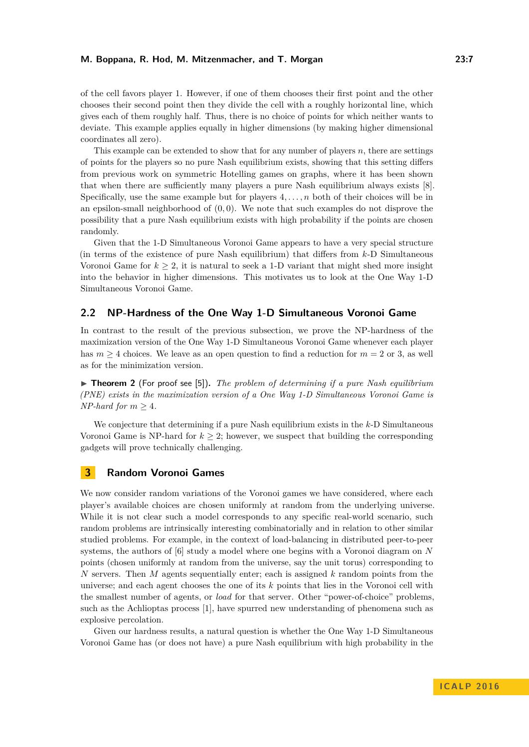of the cell favors player 1. However, if one of them chooses their first point and the other chooses their second point then they divide the cell with a roughly horizontal line, which gives each of them roughly half. Thus, there is no choice of points for which neither wants to deviate. This example applies equally in higher dimensions (by making higher dimensional coordinates all zero).

This example can be extended to show that for any number of players *n*, there are settings of points for the players so no pure Nash equilibrium exists, showing that this setting differs from previous work on symmetric Hotelling games on graphs, where it has been shown that when there are sufficiently many players a pure Nash equilibrium always exists [\[8\]](#page-12-2). Specifically, use the same example but for players 4*, . . . , n* both of their choices will be in an epsilon-small neighborhood of (0*,* 0). We note that such examples do not disprove the possibility that a pure Nash equilibrium exists with high probability if the points are chosen randomly.

Given that the 1-D Simultaneous Voronoi Game appears to have a very special structure (in terms of the existence of pure Nash equilibrium) that differs from *k*-D Simultaneous Voronoi Game for  $k \geq 2$ , it is natural to seek a 1-D variant that might shed more insight into the behavior in higher dimensions. This motivates us to look at the One Way 1-D Simultaneous Voronoi Game.

## **2.2 NP-Hardness of the One Way 1-D Simultaneous Voronoi Game**

In contrast to the result of the previous subsection, we prove the NP-hardness of the maximization version of the One Way 1-D Simultaneous Voronoi Game whenever each player has  $m \geq 4$  choices. We leave as an open question to find a reduction for  $m = 2$  or 3, as well as for the minimization version.

▶ **Theorem 2** (For proof see [\[5\]](#page-11-0)). *The problem of determining if a pure Nash equilibrium (PNE) exists in the maximization version of a One Way 1-D Simultaneous Voronoi Game is NP-hard for*  $m > 4$ *.* 

We conjecture that determining if a pure Nash equilibrium exists in the *k*-D Simultaneous Voronoi Game is NP-hard for  $k \geq 2$ ; however, we suspect that building the corresponding gadgets will prove technically challenging.

## <span id="page-6-0"></span>**3 Random Voronoi Games**

We now consider random variations of the Voronoi games we have considered, where each player's available choices are chosen uniformly at random from the underlying universe. While it is not clear such a model corresponds to any specific real-world scenario, such random problems are intrinsically interesting combinatorially and in relation to other similar studied problems. For example, in the context of load-balancing in distributed peer-to-peer systems, the authors of [\[6\]](#page-11-4) study a model where one begins with a Voronoi diagram on *N* points (chosen uniformly at random from the universe, say the unit torus) corresponding to *N* servers. Then *M* agents sequentially enter; each is assigned *k* random points from the universe; and each agent chooses the one of its *k* points that lies in the Voronoi cell with the smallest number of agents, or *load* for that server. Other "power-of-choice" problems, such as the Achlioptas process [\[1\]](#page-11-5), have spurred new understanding of phenomena such as explosive percolation.

Given our hardness results, a natural question is whether the One Way 1-D Simultaneous Voronoi Game has (or does not have) a pure Nash equilibrium with high probability in the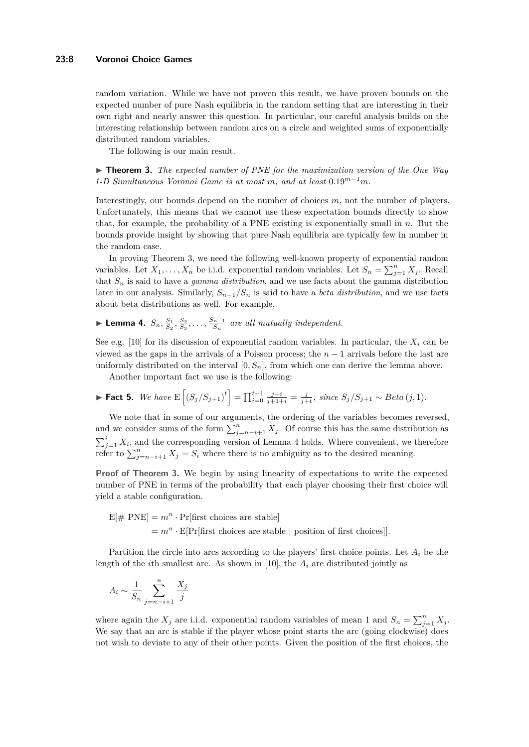## **23:8 Voronoi Choice Games**

random variation. While we have not proven this result, we have proven bounds on the expected number of pure Nash equilibria in the random setting that are interesting in their own right and nearly answer this question. In particular, our careful analysis builds on the interesting relationship between random arcs on a circle and weighted sums of exponentially distributed random variables.

The following is our main result.

<span id="page-7-0"></span>▶ **Theorem 3.** *The expected number of PNE for the maximization version of the One Way 1-D Simultaneous Voronoi Game is at most m, and at least* 0*.*19*m*−<sup>1</sup>*m.*

Interestingly, our bounds depend on the number of choices *m*, not the number of players. Unfortunately, this means that we cannot use these expectation bounds directly to show that, for example, the probability of a PNE existing is exponentially small in *n*. But the bounds provide insight by showing that pure Nash equilibria are typically few in number in the random case.

In proving Theorem [3,](#page-7-0) we need the following well-known property of exponential random variables. Let  $X_1, \ldots, X_n$  be i.i.d. exponential random variables. Let  $S_n = \sum_{j=1}^n X_j$ . Recall that *S<sup>n</sup>* is said to have a *gamma distribution*, and we use facts about the gamma distribution later in our analysis. Similarly,  $S_{n-1}/S_n$  is said to have a *beta distribution*, and we use facts about beta distributions as well. For example,

<span id="page-7-1"></span>▶ Lemma 4.  $S_n, \frac{S_1}{S_2}, \frac{S_2}{S_3}, \ldots, \frac{S_{n-1}}{S_n}$  $\frac{n-1}{S_n}$  are all mutually independent.

See e.g. [\[10\]](#page-12-9) for its discussion of exponential random variables. In particular, the  $X_i$  can be viewed as the gaps in the arrivals of a Poisson process; the *n* − 1 arrivals before the last are uniformly distributed on the interval  $[0, S_n]$ , from which one can derive the lemma above.

Another important fact we use is the following:

<span id="page-7-2"></span>• **Fact 5.** We have 
$$
E\left[ (S_j/S_{j+1})^t \right] = \prod_{i=0}^{t-1} \frac{j+i}{j+1+i} = \frac{j}{j+t}
$$
, since  $S_j/S_{j+1} \sim Beta(j, 1)$ .

We note that in some of our arguments, the ordering of the variables becomes reversed, and we consider sums of the form  $\sum_{j=n-i+1}^{n} X_j$ . Of course this has the same distribution as  $\sum_{j=1}^{i} X_i$ , and the corresponding version of Lemma [4](#page-7-1) holds. Where convenient, we therefore refer to  $\sum_{j=n-i+1}^{n} X_j = S_i$  where there is no ambiguity as to the desired meaning.

**Proof of Theorem [3.](#page-7-0)** We begin by using linearity of expectations to write the expected number of PNE in terms of the probability that each player choosing their first choice will yield a stable configuration.

$$
E[\# \text{ PNE}] = m^n \cdot \Pr[\text{first choices are stable}]
$$
  
=  $m^n \cdot E[\Pr[\text{first choices are stable } | \text{ position of first choices}]].$ 

Partition the circle into arcs according to the players' first choice points. Let *A<sup>i</sup>* be the length of the *i*th smallest arc. As shown in [\[10\]](#page-12-9), the  $A_i$  are distributed jointly as

$$
A_i \sim \frac{1}{S_n} \sum_{j=n-i+1}^n \frac{X_j}{j}
$$

where again the  $X_j$  are i.i.d. exponential random variables of mean 1 and  $S_n = \sum_{j=1}^n X_j$ . We say that an arc is stable if the player whose point starts the arc (going clockwise) does not wish to deviate to any of their other points. Given the position of the first choices, the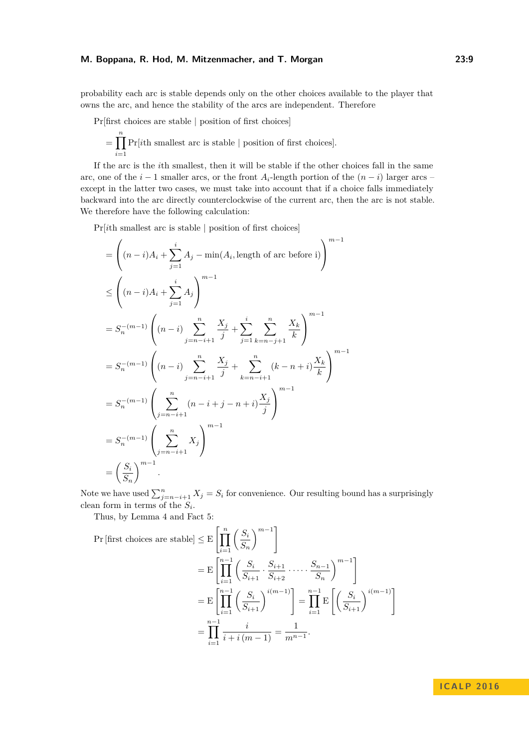probability each arc is stable depends only on the other choices available to the player that owns the arc, and hence the stability of the arcs are independent. Therefore

Pr[first choices are stable | position of first choices]

$$
= \prod_{i=1}^n \Pr [i\text{th smallest arc is stable }|
$$
 position of first choices].

If the arc is the *i*th smallest, then it will be stable if the other choices fall in the same arc, one of the  $i - 1$  smaller arcs, or the front  $A_i$ -length portion of the  $(n - i)$  larger arcs – except in the latter two cases, we must take into account that if a choice falls immediately backward into the arc directly counterclockwise of the current arc, then the arc is not stable. We therefore have the following calculation:

Pr[*i*th smallest arc is stable | position of first choices]

$$
= \left( (n-i)A_i + \sum_{j=1}^{i} A_j - \min(A_i, \text{length of arc before i}) \right)^{m-1}
$$
  
\n
$$
\leq \left( (n-i)A_i + \sum_{j=1}^{i} A_j \right)^{m-1}
$$
  
\n
$$
= S_n^{-(m-1)} \left( (n-i) \sum_{j=n-i+1}^{n} \frac{X_j}{j} + \sum_{j=1}^{i} \sum_{k=n-j+1}^{n} \frac{X_k}{k} \right)^{m-1}
$$
  
\n
$$
= S_n^{-(m-1)} \left( (n-i) \sum_{j=n-i+1}^{n} \frac{X_j}{j} + \sum_{k=n-i+1}^{n} (k-n+i) \frac{X_k}{k} \right)^{m-1}
$$
  
\n
$$
= S_n^{-(m-1)} \left( \sum_{j=n-i+1}^{n} (n-i+j-n+i) \frac{X_j}{j} \right)^{m-1}
$$
  
\n
$$
= S_n^{-(m-1)} \left( \sum_{j=n-i+1}^{n} X_j \right)^{m-1}
$$
  
\n
$$
= \left( \frac{S_i}{S_n} \right)^{m-1}.
$$

Note we have used  $\sum_{j=n-i+1}^{n} X_j = S_i$  for convenience. Our resulting bound has a surprisingly clean form in terms of the *S<sup>i</sup>* .

Thus, by Lemma [4](#page-7-1) and Fact [5:](#page-7-2)

Pr [first choices are stable] 
$$
\leq E\left[\prod_{i=1}^{n} \left(\frac{S_i}{S_n}\right)^{m-1}\right]
$$
  
\n
$$
= E\left[\prod_{i=1}^{n-1} \left(\frac{S_i}{S_{i+1}} \cdot \frac{S_{i+1}}{S_{i+2}} \cdot \dots \cdot \frac{S_{n-1}}{S_n}\right)^{m-1}\right]
$$
\n
$$
= E\left[\prod_{i=1}^{n-1} \left(\frac{S_i}{S_{i+1}}\right)^{i(m-1)}\right] = \prod_{i=1}^{n-1} E\left[\left(\frac{S_i}{S_{i+1}}\right)^{i(m-1)}\right]
$$
\n
$$
= \prod_{i=1}^{n-1} \frac{i}{i+i(m-1)} = \frac{1}{m^{n-1}}.
$$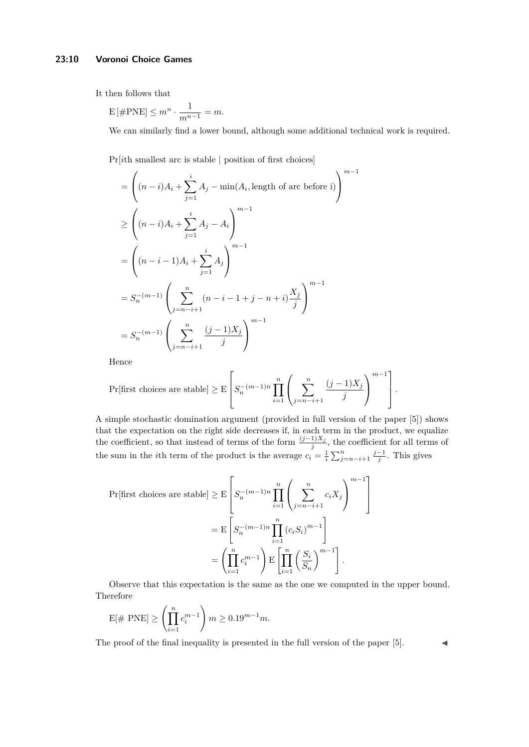## **23:10 Voronoi Choice Games**

It then follows that

$$
E\left[\#\mathrm{PNE}\right] \le m^n \cdot \frac{1}{m^{n-1}} = m.
$$

We can similarly find a lower bound, although some additional technical work is required.

Pr[*i*th smallest arc is stable | position of first choices]

$$
= \left( (n-i)A_i + \sum_{j=1}^i A_j - \min(A_i, \text{length of arc before i}) \right)^{m-1}
$$
  
\n
$$
\geq \left( (n-i)A_i + \sum_{j=1}^i A_j - A_i \right)^{m-1}
$$
  
\n
$$
= \left( (n-i-1)A_i + \sum_{j=1}^i A_j \right)^{m-1}
$$
  
\n
$$
= S_n^{-(m-1)} \left( \sum_{j=n-i+1}^n (n-i-1+j-n+i) \frac{X_j}{j} \right)^{m-1}
$$
  
\n
$$
= S_n^{-(m-1)} \left( \sum_{j=n-i+1}^n \frac{(j-1)X_j}{j} \right)^{m-1}
$$

Hence

$$
\Pr[\text{first choices are stable}] \geq E\left[S_n^{-(m-1)n} \prod_{i=1}^n \left(\sum_{j=n-i+1}^n \frac{(j-1)X_j}{j}\right)^{m-1}\right].
$$

A simple stochastic domination argument (provided in full version of the paper [\[5\]](#page-11-0)) shows that the expectation on the right side decreases if, in each term in the product, we equalize the coefficient, so that instead of terms of the form  $\frac{(j-1)X_j}{j}$ , the coefficient for all terms of the sum in the *i*th term of the product is the average  $c_i = \frac{1}{i} \sum_{j=n-i+1}^{n} \frac{j-1}{j}$ . This gives

$$
\Pr[\text{first choices are stable}] \geq E\left[S_n^{-(m-1)n} \prod_{i=1}^n \left(\sum_{j=n-i+1}^n c_i X_j\right)^{m-1}\right]
$$

$$
= E\left[S_n^{-(m-1)n} \prod_{i=1}^n (c_i S_i)^{m-1}\right]
$$

$$
= \left(\prod_{i=1}^n c_i^{m-1}\right) E\left[\prod_{i=1}^n \left(\frac{S_i}{S_n}\right)^{m-1}\right].
$$

Observe that this expectation is the same as the one we computed in the upper bound. Therefore

$$
E[\#\ \text{PNE}] \ge \left(\prod_{i=1}^{n} c_i^{m-1}\right) m \ge 0.19^{m-1} m.
$$

The proof of the final inequality is presented in the full version of the paper  $[5]$ .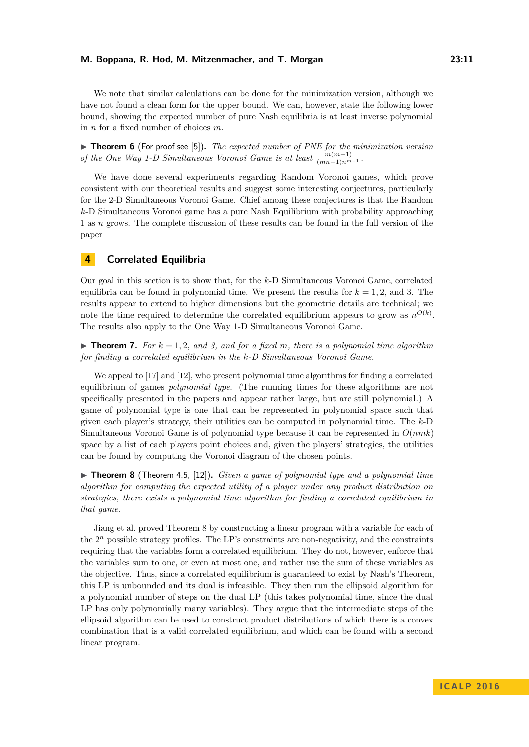We note that similar calculations can be done for the minimization version, although we have not found a clean form for the upper bound. We can, however, state the following lower bound, showing the expected number of pure Nash equilibria is at least inverse polynomial in *n* for a fixed number of choices *m*.

▶ **Theorem 6** (For proof see [\[5\]](#page-11-0)). *The expected number of PNE for the minimization version of the One Way 1-D Simultaneous Voronoi Game is at least*  $\frac{m(m-1)}{(mn-1)n^{m-1}}$ .

We have done several experiments regarding Random Voronoi games, which prove consistent with our theoretical results and suggest some interesting conjectures, particularly for the 2-D Simultaneous Voronoi Game. Chief among these conjectures is that the Random *k*-D Simultaneous Voronoi game has a pure Nash Equilibrium with probability approaching 1 as *n* grows. The complete discussion of these results can be found in the full version of the paper

# <span id="page-10-0"></span>**4 Correlated Equilibria**

Our goal in this section is to show that, for the *k*-D Simultaneous Voronoi Game, correlated equilibria can be found in polynomial time. We present the results for  $k = 1, 2,$  and 3. The results appear to extend to higher dimensions but the geometric details are technical; we note the time required to determine the correlated equilibrium appears to grow as  $n^{O(k)}$ . The results also apply to the One Way 1-D Simultaneous Voronoi Game.

 $\triangleright$  **Theorem 7.** For  $k = 1, 2,$  and 3, and for a fixed m, there is a polynomial time algorithm *for finding a correlated equilibrium in the k-D Simultaneous Voronoi Game.*

We appeal to [\[17\]](#page-12-10) and [\[12\]](#page-12-11), who present polynomial time algorithms for finding a correlated equilibrium of games *polynomial type*. (The running times for these algorithms are not specifically presented in the papers and appear rather large, but are still polynomial.) A game of polynomial type is one that can be represented in polynomial space such that given each player's strategy, their utilities can be computed in polynomial time. The *k*-D Simultaneous Voronoi Game is of polynomial type because it can be represented in *O*(*nmk*) space by a list of each players point choices and, given the players' strategies, the utilities can be found by computing the Voronoi diagram of the chosen points.

<span id="page-10-1"></span> $\triangleright$  **Theorem 8** (Theorem 4.5, [\[12\]](#page-12-11)). *Given a game of polynomial type and a polynomial time algorithm for computing the expected utility of a player under any product distribution on strategies, there exists a polynomial time algorithm for finding a correlated equilibrium in that game.*

Jiang et al. proved Theorem [8](#page-10-1) by constructing a linear program with a variable for each of the  $2<sup>n</sup>$  possible strategy profiles. The LP's constraints are non-negativity, and the constraints requiring that the variables form a correlated equilibrium. They do not, however, enforce that the variables sum to one, or even at most one, and rather use the sum of these variables as the objective. Thus, since a correlated equilibrium is guaranteed to exist by Nash's Theorem, this LP is unbounded and its dual is infeasible. They then run the ellipsoid algorithm for a polynomial number of steps on the dual LP (this takes polynomial time, since the dual LP has only polynomially many variables). They argue that the intermediate steps of the ellipsoid algorithm can be used to construct product distributions of which there is a convex combination that is a valid correlated equilibrium, and which can be found with a second linear program.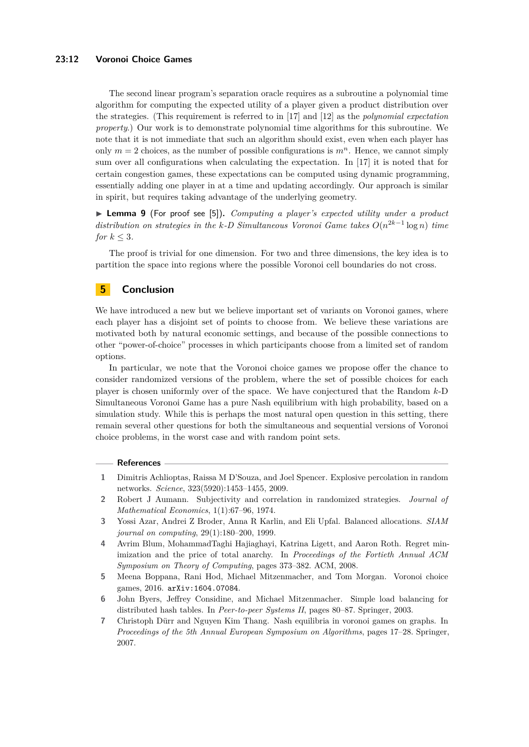## **23:12 Voronoi Choice Games**

The second linear program's separation oracle requires as a subroutine a polynomial time algorithm for computing the expected utility of a player given a product distribution over the strategies. (This requirement is referred to in [\[17\]](#page-12-10) and [\[12\]](#page-12-11) as the *polynomial expectation property*.) Our work is to demonstrate polynomial time algorithms for this subroutine. We note that it is not immediate that such an algorithm should exist, even when each player has only  $m = 2$  choices, as the number of possible configurations is  $m<sup>n</sup>$ . Hence, we cannot simply sum over all configurations when calculating the expectation. In [\[17\]](#page-12-10) it is noted that for certain congestion games, these expectations can be computed using dynamic programming, essentially adding one player in at a time and updating accordingly. Our approach is similar in spirit, but requires taking advantage of the underlying geometry.

▶ **Lemma 9** (For proof see [\[5\]](#page-11-0)). *Computing a player's expected utility under a product distribution on strategies in the k-D Simultaneous Voronoi Game takes*  $O(n^{2k-1} \log n)$  *time for*  $k \leq 3$ *.* 

The proof is trivial for one dimension. For two and three dimensions, the key idea is to partition the space into regions where the possible Voronoi cell boundaries do not cross.

# **5 Conclusion**

We have introduced a new but we believe important set of variants on Voronoi games, where each player has a disjoint set of points to choose from. We believe these variations are motivated both by natural economic settings, and because of the possible connections to other "power-of-choice" processes in which participants choose from a limited set of random options.

In particular, we note that the Voronoi choice games we propose offer the chance to consider randomized versions of the problem, where the set of possible choices for each player is chosen uniformly over of the space. We have conjectured that the Random *k*-D Simultaneous Voronoi Game has a pure Nash equilibrium with high probability, based on a simulation study. While this is perhaps the most natural open question in this setting, there remain several other questions for both the simultaneous and sequential versions of Voronoi choice problems, in the worst case and with random point sets.

## **References**

- <span id="page-11-5"></span>**1** Dimitris Achlioptas, Raissa M D'Souza, and Joel Spencer. Explosive percolation in random networks. *Science*, 323(5920):1453–1455, 2009.
- <span id="page-11-6"></span>**2** Robert J Aumann. Subjectivity and correlation in randomized strategies. *Journal of Mathematical Economics*, 1(1):67–96, 1974.
- <span id="page-11-3"></span>**3** Yossi Azar, Andrei Z Broder, Anna R Karlin, and Eli Upfal. Balanced allocations. *SIAM journal on computing*, 29(1):180–200, 1999.
- <span id="page-11-1"></span>**4** Avrim Blum, MohammadTaghi Hajiaghayi, Katrina Ligett, and Aaron Roth. Regret minimization and the price of total anarchy. In *Proceedings of the Fortieth Annual ACM Symposium on Theory of Computing*, pages 373–382. ACM, 2008.
- <span id="page-11-0"></span>**5** Meena Boppana, Rani Hod, Michael Mitzenmacher, and Tom Morgan. Voronoi choice games, 2016. [arXiv:1604.07084](http://arxiv.org/abs/1604.07084).
- <span id="page-11-4"></span>**6** John Byers, Jeffrey Considine, and Michael Mitzenmacher. Simple load balancing for distributed hash tables. In *Peer-to-peer Systems II*, pages 80–87. Springer, 2003.
- <span id="page-11-2"></span>**7** Christoph Dürr and Nguyen Kim Thang. Nash equilibria in voronoi games on graphs. In *Proceedings of the 5th Annual European Symposium on Algorithms*, pages 17–28. Springer, 2007.